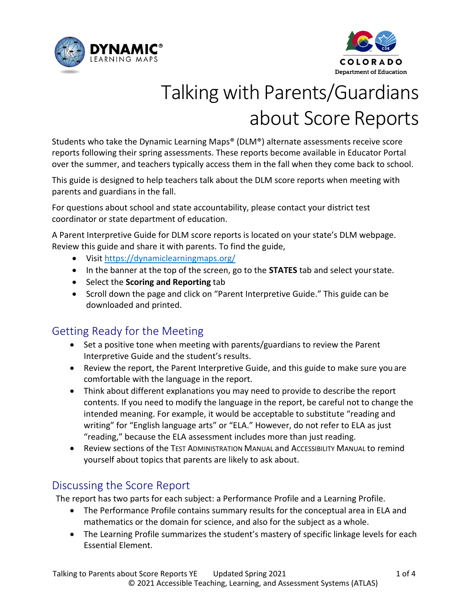



# Talking with Parents/Guardians about Score Reports

Students who take the Dynamic Learning Maps® (DLM®) alternate assessments receive score reports following their spring assessments. These reports become available in Educator Portal over the summer, and teachers typically access them in the fall when they come back to school.

This guide is designed to help teachers talk about the DLM score reports when meeting with parents and guardians in the fall.

For questions about school and state accountability, please contact your district test coordinator or state department of education.

A Parent Interpretive Guide for DLM score reports is located on your state's DLM webpage. Review this guide and share it with parents. To find the guide,

- Visit <https://dynamiclearningmaps.org/>
- In the banner at the top of the screen, go to the **STATES** tab and select yourstate.
- Select the **Scoring and Reporting** tab
- Scroll down the page and click on "Parent Interpretive Guide." This guide can be downloaded and printed.

## Getting Ready for the Meeting

- Set a positive tone when meeting with parents/guardians to review the Parent Interpretive Guide and the student's results.
- Review the report, the Parent Interpretive Guide, and this guide to make sure you are comfortable with the language in the report.
- Think about different explanations you may need to provide to describe the report contents. If you need to modify the language in the report, be careful not to change the intended meaning. For example, it would be acceptable to substitute "reading and writing" for "English language arts" or "ELA." However, do not refer to ELA as just "reading," because the ELA assessment includes more than just reading.
- Review sections of the TEST ADMINISTRATION MANUAL and Accessibility Manual to remind yourself about topics that parents are likely to ask about.

# Discussing the Score Report

The report has two parts for each subject: a Performance Profile and a Learning Profile.

- The Performance Profile contains summary results for the conceptual area in ELA and mathematics or the domain for science, and also for the subject as a whole.
- The Learning Profile summarizes the student's mastery of specific linkage levels for each Essential Element.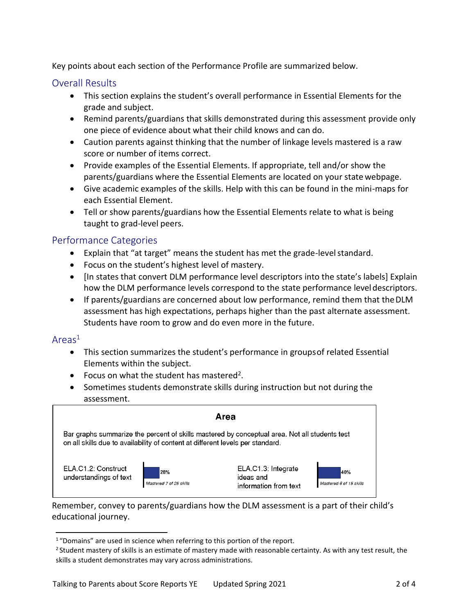Key points about each section of the Performance Profile are summarized below.

#### Overall Results

- This section explains the student's overall performance in Essential Elements for the grade and subject.
- Remind parents/guardians that skills demonstrated during this assessment provide only one piece of evidence about what their child knows and can do.
- Caution parents against thinking that the number of linkage levels mastered is a raw score or number of items correct.
- Provide examples of the Essential Elements. If appropriate, tell and/or show the parents/guardians where the Essential Elements are located on your state webpage.
- Give academic examples of the skills. Help with this can be found in the mini-maps for each Essential Element.
- Tell or show parents/guardians how the Essential Elements relate to what is being taught to grad-level peers.

#### Performance Categories

- Explain that "at target" means the student has met the grade-level standard.
- Focus on the student's highest level of mastery.
- [In states that convert DLM performance level descriptors into the state's labels] Explain how the DLM performance levels correspond to the state performance leveldescriptors.
- If parents/guardians are concerned about low performance, remind them that theDLM assessment has high expectations, perhaps higher than the past alternate assessment. Students have room to grow and do even more in the future.

#### Areas<sup>1</sup>

- This section summarizes the student's performance in groupsof related Essential Elements within the subject.
- Focus on what the student has mastered<sup>2</sup>.
- Sometimes students demonstrate skills during instruction but not during the assessment.

|                                                                                |                                | Area                                                                                          |                                |
|--------------------------------------------------------------------------------|--------------------------------|-----------------------------------------------------------------------------------------------|--------------------------------|
| on all skills due to availability of content at different levels per standard. |                                | Bar graphs summarize the percent of skills mastered by conceptual area. Not all students test |                                |
| ELA.C1.2: Construct<br>understandings of text                                  | 28%<br>Mastered 7 of 25 skills | ELA.C1.3: Integrate<br>ideas and<br>information from text                                     | 40%<br>Mastered 6 of 15 skills |

Remember, convey to parents/guardians how the DLM assessment is a part of their child's educational journey.

<sup>&</sup>lt;sup>1</sup> "Domains" are used in science when referring to this portion of the report.

<sup>&</sup>lt;sup>2</sup> Student mastery of skills is an estimate of mastery made with reasonable certainty. As with any test result, the skills a student demonstrates may vary across administrations.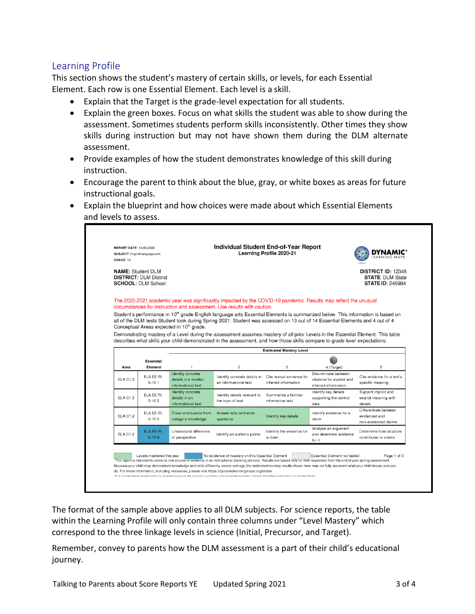#### Learning Profile

This section shows the student's mastery of certain skills, or levels, for each Essential Element. Each row is one Essential Element. Each level is a skill.

- Explain that the Target is the grade-level expectation for all students.
- Explain the green boxes. Focus on what skills the student was able to show during the assessment. Sometimes students perform skills inconsistently. Other times they show skills during instruction but may not have shown them during the DLM alternate assessment.
- Provide examples of how the student demonstrates knowledge of this skill during instruction.
- Encourage the parent to think about the blue, gray, or white boxes as areas for future instructional goals.
- Explain the blueprint and how choices were made about which Essential Elements and levels to assess.

| <b>REPORT DATE: 12-03-2020</b><br>SUBJECT: English language arts<br>GRADE: 10          |                                                                                                                                                                                                                                                                                                                                                                                                                                                                       | Individual Student End-of-Year Report                                                                                      | Learning Profile 2020-21                          |                                                                            | LEARNING MA                                                                     |
|----------------------------------------------------------------------------------------|-----------------------------------------------------------------------------------------------------------------------------------------------------------------------------------------------------------------------------------------------------------------------------------------------------------------------------------------------------------------------------------------------------------------------------------------------------------------------|----------------------------------------------------------------------------------------------------------------------------|---------------------------------------------------|----------------------------------------------------------------------------|---------------------------------------------------------------------------------|
| <b>NAME:</b> Student DLM<br><b>DISTRICT: DLM District</b><br><b>SCHOOL: DLM School</b> |                                                                                                                                                                                                                                                                                                                                                                                                                                                                       |                                                                                                                            |                                                   |                                                                            | <b>DISTRICT ID: 12345</b><br><b>STATE: DLM State</b><br><b>STATE ID: 245984</b> |
|                                                                                        | The 2020-2021 academic year was significantly impacted by the COVID-19 pandemic. Results may reflect the unusual<br>circumstances for instruction and assessment. Use results with caution.                                                                                                                                                                                                                                                                           |                                                                                                                            |                                                   |                                                                            |                                                                                 |
|                                                                                        | Student's performance in 10 <sup>th</sup> grade English language arts Essential Elements is summarized below. This information is based on<br>all of the DLM tests Student took during Spring 2021. Student was assessed on 13 out of 14 Essential Elements and 4 out of 4<br>Conceptual Areas expected in 10 <sup>th</sup> grade.<br>Demonstrating mastery of a Level during the assessment assumes mastery of all prior Levels in the Essential Element. This table | describes what skills your child demonstrated in the assessment, and how those skills compare to grade level expectations. |                                                   |                                                                            |                                                                                 |
|                                                                                        |                                                                                                                                                                                                                                                                                                                                                                                                                                                                       |                                                                                                                            |                                                   |                                                                            |                                                                                 |
|                                                                                        |                                                                                                                                                                                                                                                                                                                                                                                                                                                                       |                                                                                                                            | <b>Estimated Mastery Level</b>                    |                                                                            |                                                                                 |
| <b>Essential</b><br>Area<br>Element                                                    | $\overline{1}$                                                                                                                                                                                                                                                                                                                                                                                                                                                        | $\overline{c}$                                                                                                             | 3                                                 | 0<br>4 (Target)                                                            | 5                                                                               |
| ELA.EE.RI.<br>ELA C1.2<br>$9 - 10.1$                                                   | Identify concrete<br>details in a familiar<br>informational text                                                                                                                                                                                                                                                                                                                                                                                                      | Identify concrete details in<br>an informational text                                                                      | Cite textual evidence for<br>inferred information | Discriminate between<br>citations for explicit and<br>inferred information | Cite evidence for a text's<br>specific meaning                                  |
| ELA.EE.RI.<br>ELA C1.2<br>$9 - 10.2$                                                   | Identify concrete<br>details in an<br>informational text                                                                                                                                                                                                                                                                                                                                                                                                              | Identify details relevant to<br>the topic of text                                                                          | Summarize a familiar<br>informative text          | Identify key details<br>supporting the central<br>idea                     | Support implicit and<br>explicit meaning with<br>details                        |
| ELA.EE.RI.<br>ELAC1.2<br>$9 - 10.5$                                                    | Draw conclusions from<br>category knowledge                                                                                                                                                                                                                                                                                                                                                                                                                           | Answer who and what<br>questions                                                                                           | Identify key details                              | Identify evidence for a<br>claim                                           | Differentiate between<br>evidenced and<br>non-evidenced claims                  |

The format of the sample above applies to all DLM subjects. For science reports, the table within the Learning Profile will only contain three columns under "Level Mastery" which correspond to the three linkage levels in science (Initial, Precursor, and Target).

Remember, convey to parents how the DLM assessment is a part of their child's educational journey.